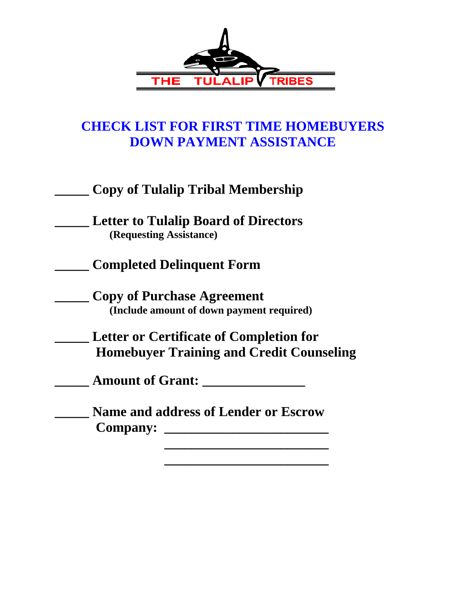

## **CHECK LIST FOR FIRST TIME HOMEBUYERS DOWN PAYMENT ASSISTANCE**

|  | <b>Copy of Tulalip Tribal Membership</b> |
|--|------------------------------------------|
|--|------------------------------------------|

**\_\_\_\_\_ Letter to Tulalip Board of Directors (Requesting Assistance)** 

**\_\_\_\_\_ Completed Delinquent Form** 

**\_\_\_\_\_ Copy of Purchase Agreement (Include amount of down payment required)** 

**\_\_\_\_\_ Letter or Certificate of Completion for Homebuyer Training and Credit Counseling** 

**\_\_\_\_\_ Amount of Grant: \_\_\_\_\_\_\_\_\_\_\_\_\_\_\_** 

**\_\_\_\_\_ Name and address of Lender or Escrow Company: \_\_\_\_\_\_\_\_\_\_\_\_\_\_\_\_\_\_\_\_\_\_\_\_**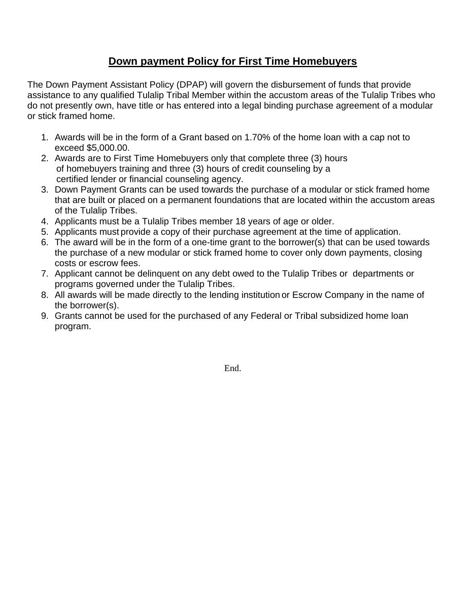## **Down payment Policy for First Time Homebuyers**

The Down Payment Assistant Policy (DPAP) will govern the disbursement of funds that provide assistance to any qualified Tulalip Tribal Member within the accustom areas of the Tulalip Tribes who do not presently own, have title or has entered into a legal binding purchase agreement of a modular or stick framed home.

- 1. Awards will be in the form of a Grant based on 1.70% of the home loan with a cap not to exceed \$5,000.00.
- 2. Awards are to First Time Homebuyers only that complete three (3) hours of homebuyers training and three (3) hours of credit counseling by a certified lender or financial counseling agency.
- 3. Down Payment Grants can be used towards the purchase of a modular or stick framed home that are built or placed on a permanent foundations that are located within the accustom areas of the Tulalip Tribes.
- 4. Applicants must be a Tulalip Tribes member 18 years of age or older.
- 5. Applicants must provide a copy of their purchase agreement at the time of application.
- 6. The award will be in the form of a one-time grant to the borrower(s) that can be used towards the purchase of a new modular or stick framed home to cover only down payments, closing costs or escrow fees.
- 7. Applicant cannot be delinquent on any debt owed to the Tulalip Tribes or departments or programs governed under the Tulalip Tribes.
- 8. All awards will be made directly to the lending institution or Escrow Company in the name of the borrower(s).
- 9. Grants cannot be used for the purchased of any Federal or Tribal subsidized home loan program.

End.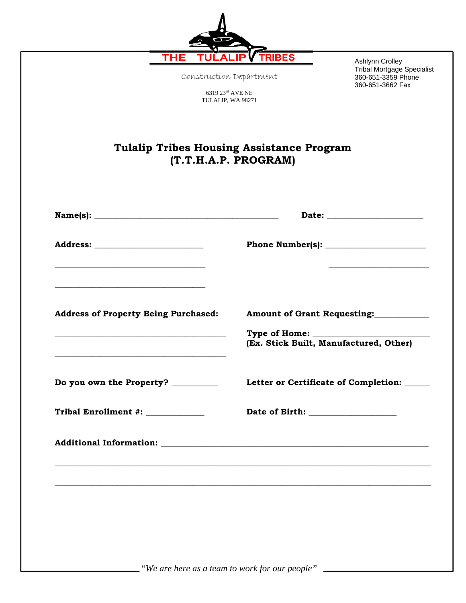| <b>Tulalip Tribes Housing Assistance Program</b><br>(T.T.H.A.P. PROGRAM)<br>Type of Home: __________<br>(Ex. Stick Built, Manufactured, Other)<br>Letter or Certificate of Completion: _____ | <b>THE</b><br>Construction Department<br>6319 23rd AVE NE<br>TULALIP, WA 98271 | <b>TRIBES</b><br>Ashlynn Crolley<br><b>Tribal Mortgage Specialist</b><br>360-651-3359 Phone<br>360-651-3662 Fax                                                                                                                |  |
|----------------------------------------------------------------------------------------------------------------------------------------------------------------------------------------------|--------------------------------------------------------------------------------|--------------------------------------------------------------------------------------------------------------------------------------------------------------------------------------------------------------------------------|--|
| <b>Address of Property Being Purchased:</b><br>Do you own the Property? ________<br>Tribal Enrollment #: ____________                                                                        |                                                                                |                                                                                                                                                                                                                                |  |
|                                                                                                                                                                                              |                                                                                | Date: the contract of the contract of the contract of the contract of the contract of the contract of the contract of the contract of the contract of the contract of the contract of the contract of the contract of the cont |  |
|                                                                                                                                                                                              |                                                                                |                                                                                                                                                                                                                                |  |
|                                                                                                                                                                                              |                                                                                | Amount of Grant Requesting:                                                                                                                                                                                                    |  |
|                                                                                                                                                                                              |                                                                                |                                                                                                                                                                                                                                |  |
|                                                                                                                                                                                              |                                                                                |                                                                                                                                                                                                                                |  |
|                                                                                                                                                                                              |                                                                                |                                                                                                                                                                                                                                |  |
|                                                                                                                                                                                              |                                                                                |                                                                                                                                                                                                                                |  |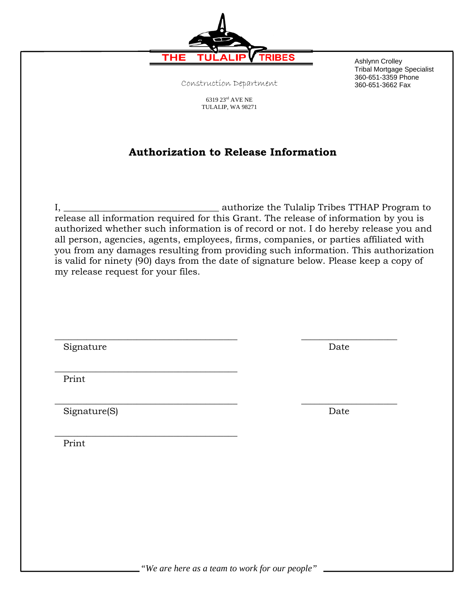Construction Department

6319 $23^{\rm rd}$  AVE NE TULALIP, WA <sup>98271</sup>

## **Authorization to Release Information**

I, \_\_\_\_\_\_\_\_\_\_\_\_\_\_\_\_\_\_\_\_\_\_\_\_\_\_\_\_\_\_\_\_\_\_ authorize the Tulalip Tribes TTHAP Program to release all information required for this Grant. The release of information by you is authorized whether such information is of record or not. I do hereby release you and all person, agencies, agents, employees, firms, companies, or parties affiliated with you from any damages resulting from providing such information. This authorization is valid for ninety (90) days from the date of signature below. Please keep a copy of my release request for your files.

Signature Date

 $\frac{1}{2}$  , and the set of the set of the set of the set of the set of the set of the set of the set of the set of the set of the set of the set of the set of the set of the set of the set of the set of the set of the set

\_\_\_\_\_\_\_\_\_\_\_\_\_\_\_\_\_\_\_\_\_\_\_\_\_\_\_\_\_\_\_\_\_\_\_\_\_\_\_\_

Print

Signature(S) Date

Print

*"We are here as a team to work for our people"* 

 $\overline{\phantom{a}}$  , and the contribution of the contribution of the contribution of the contribution of the contribution of the contribution of the contribution of the contribution of the contribution of the contribution of the



 $\_$  , and the contribution of the contribution of  $\overline{\phantom{a}}$  ,  $\overline{\phantom{a}}$  ,  $\overline{\phantom{a}}$  ,  $\overline{\phantom{a}}$  ,  $\overline{\phantom{a}}$  ,  $\overline{\phantom{a}}$  ,  $\overline{\phantom{a}}$  ,  $\overline{\phantom{a}}$  ,  $\overline{\phantom{a}}$  ,  $\overline{\phantom{a}}$  ,  $\overline{\phantom{a}}$  ,  $\overline{\phantom{a}}$  ,  $\over$ 

Ashlynn Crolley

Tribal Mortgage Specialist 360-651-3359 Phone 360-651-3662 Fax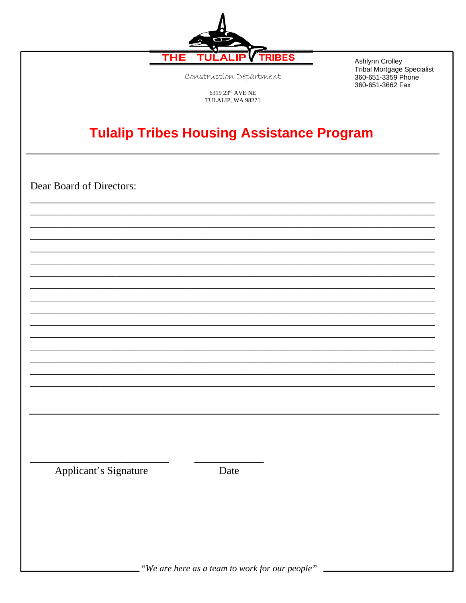

Construction Department

Ashlynn Crolley Tribal Mortgage Specialist 360-651-3359 Phone 360-651-3662 Fax

 $6319\ 23^{\text{rd}}$  AVE NE TULALIP, WA $98271$ 

## **Tulalip Tribes Housing Assistance Program**

Dear Board of Directors:

Applicant's Signature

Date

"We are here as a team to work for our people"